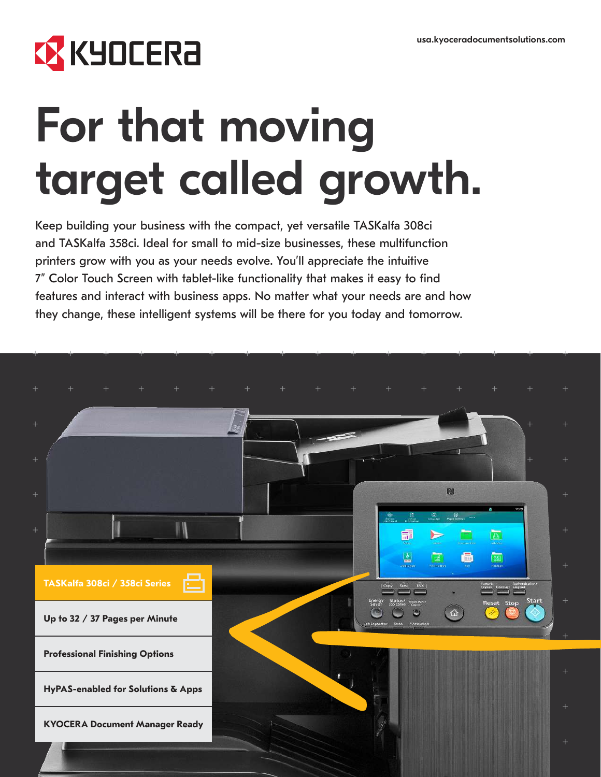# **EX KYOCERA**

# For that moving target called growth.

Keep building your business with the compact, yet versatile TASKalfa 308ci and TASKalfa 358ci. Ideal for small to mid-size businesses, these multifunction printers grow with you as your needs evolve. You'll appreciate the intuitive 7" Color Touch Screen with tablet-like functionality that makes it easy to find features and interact with business apps. No matter what your needs are and how they change, these intelligent systems will be there for you today and tomorrow.

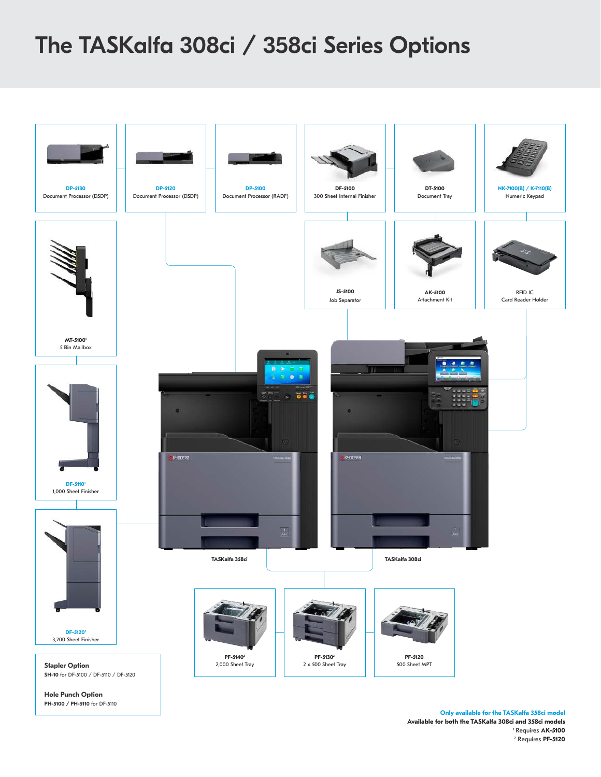## The TASKalfa 308ci / 358ci Series Options



**Only available for the TASKalfa 358ci model Available for both the TASKalfa 308ci and 358ci models** <sup>1</sup>Requires **AK-5100** <sup>2</sup> Requires **PF-5120**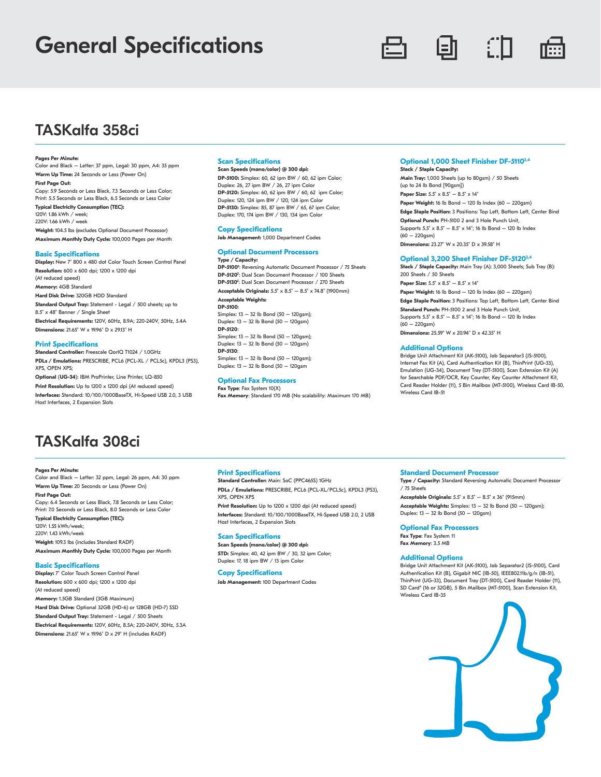## General Specifications



### TASKalfa 358ci

#### **Pages Per Minute:**

Color and Black – Letter: 37 ppm, Legal: 30 ppm, A4: 35 ppm **Warm Up Time:** 24 Seconds or Less (Power On) **First Page Out:**  Copy: 5.9 Seconds or Less Black, 7.3 Seconds or Less Color;

Print: 5.5 Seconds or Less Black, 6.5 Seconds or Less Color **Typical Electricity Consumption (TEC):** 120V: 1.86 kWh / week; 220V: 1.66 kWh / week **Weight:** 104.5 lbs (excludes Optional Document Processor) **Maximum Monthly Duty Cycle:** 100,000 Pages per Month

#### **Basic Specifications**

**Display:** New 7" 800 x 480 dot Color Touch Screen Control Panel **Resolution:** 600 x 600 dpi; 1200 x 1200 dpi (At reduced speed) **Memory:** 4GB Standard **Hard Disk Drive:** 320GB HDD Standard **Standard Output Tray:** Statement - Legal / 500 sheets; up to 8.5" x 48" Banner / Single Sheet **Electrical Requirements:** 120V, 60Hz, 8.9A; 220-240V, 50Hz, 5.4A **Dimensions:** 21.65" W x 19.96" D x 29.13" H

#### **Print Specifications**

**Standard Controller:** Freescale QorIQ T1024 / 1.0GHz **PDLs / Emulations:** PRESCRIBE, PCL6 (PCL-XL / PCL5c), KPDL3 (PS3), XPS, OPEN XPS;

**Optional** (**UG-34**): IBM ProPrinter, Line Printer, LQ-850

**Print Resolution:** Up to 1200 x 1200 dpi (At reduced speed) **Interfaces:** Standard: 10/100/1000BaseTX, Hi-Speed USB 2.0, 3 USB Host Interfaces, 2 Expansion Slots

#### **Scan Specifications**

**Scan Speeds (mono/color) @ 300 dpi: DP-5100:** Simplex: 60, 62 ipm BW / 60, 62 ipm Color; Duplex: 26, 27 ipm BW / 26, 27 ipm Color **DP-5120:** Simplex: 60, 62 ipm BW / 60, 62 ipm Color; Duplex: 120, 124 ipm BW / 120, 124 ipm Color **DP-5130:** Simplex: 85, 87 ipm BW / 65, 67 ipm Color; Duplex: 170, 174 ipm BW / 130, 134 ipm Color

#### **Copy Specifications**

**Job Management:** 1,000 Department Codes

#### **Optional Document Processors**

**Type / Capacity: DP-5100<sup>2</sup>** : Reversing Automatic Document Processor / 75 Sheets **DP-5120<sup>2</sup>** : Dual Scan Document Processor / 100 Sheets **DP-5130<sup>2</sup>** : Dual Scan Document Processor / 270 Sheets

**Acceptable Originals:** 5.5" x 8.5" – 8.5" x 74.8" (1900mm) **Acceptable Weights: DP-5100**: Simplex:  $13 - 32$  lb Bond ( $50 - 120$ asm): Duplex:  $13 - 32$  lb Bond  $(50 - 120$ asm) **DP-5120**: Simplex:  $13 - 32$  lb Bond ( $50 - 120$ gsm); Duplex: 13 – 32 lb Bond (50 – 120gsm) **DP-5130**:

Simplex:  $13 - 32$  lb Bond ( $50 - 120$ asm): Duplex:  $13 - 32$  lb Bond  $(50 - 120)$ gsm

#### **Optional Fax Processors**

**Fax Type**: Fax System 10(X) **Fax Memory**: Standard 170 MB (No scalability: Maximum 170 MB)

#### **Optional 1,000 Sheet Finisher DF-51103,4**

**Stack / Staple Capacity: Main Tray:** 1,000 Sheets (up to 80gsm) / 50 Sheets (up to 24 lb Bond [90gsm]) **Paper Size:** 5.5" x 8.5" – 8.5" x 14" **Paper Weight:** 16 lb Bond – 120 lb Index (60 – 220gsm) **Edge Staple Position:** 3 Positions: Top Left, Bottom Left, Center Bind **Optional Punch:** PH-5100 2 and 3 Hole Punch Unit, Supports 5.5" x 8.5" – 8.5" x 14"; 16 lb Bond – 120 lb Index (60 – 220gsm) **Dimensions:** 23.27" W x 20.35" D x 39.58" H

#### **Optional 3,200 Sheet Finisher DF-51203,4 Stack / Staple Capacity:** Main Tray (A): 3,000 Sheets; Sub Tray (B):

200 Sheets / 50 Sheets **Paper Size:** 5.5" x 8.5" – 8.5" x 14" **Paper Weight:** 16 lb Bond – 120 lb Index (60 – 220gsm) **Edge Staple Position:** 3 Positions: Top Left, Bottom Left, Center Bind **Standard Punch:** PH-5100 2 and 3 Hole Punch Unit, Supports  $5.5'' \times 8.5'' - 8.5'' \times 14''$ ; 16 lb Bond - 120 lb Index  $(60 - 220)$ gsm **Dimensions:** 25.59" W x 20.94" D x 42.35" H

#### **Additional Options**

Bridge Unit Attachment Kit (AK-5100), Job Separator3 (JS-5100), Internet Fax Kit (A), Card Authentication Kit (B), ThinPrint (UG-33), Emulation (UG-34), Document Tray (DT-5100), Scan Extension Kit (A) for Searchable PDF/OCR, Key Counter, Key Counter Attachment Kit, Card Reader Holder (11), 5 Bin Mailbox (MT-5100), Wireless Card IB-50, Wireless Card IB-51

### TASKalfa 308ci

#### **Pages Per Minute:**

Color and Black – Letter: 32 ppm, Legal: 26 ppm, A4: 30 ppm **Warm Up Time:** 20 Seconds or Less (Power On)

**First Page Out:**  Copy: 6.4 Seconds or Less Black, 7.8 Seconds or Less Color; Print: 7.0 Seconds or Less Black, 8.0 Seconds or Less Color **Typical Electricity Consumption (TEC):** 120V: 1.55 kWh/week; 220V: 1.43 kWh/week

**Weight:** 109.3 lbs (includes Standard RADF) **Maximum Monthly Duty Cycle:** 100,000 Pages per Month

#### **Basic Specifications**

**Display:** 7" Color Touch Screen Control Panel **Resolution:** 600 x 600 dpi; 1200 x 1200 dpi (At reduced speed) **Memory:** 1.5GB Standard (3GB Maximum) **Hard Disk Drive:** Optional 32GB (HD-6) or 128GB (HD-7) SSD **Standard Output Tray:** Statement - Legal / 500 Sheets **Electrical Requirements:** 120V, 60Hz, 8.5A; 220-240V, 50Hz, 5.3A **Dimensions:** 21.65" W x 19.96" D x 29" H (includes RADF)

#### **Print Specifications**

**Standard Controller:** Main: SoC (PPC465S) 1GHz **PDLs / Emulations:** PRESCRIBE, PCL6 (PCL-XL/PCL5c), KPDL3 (PS3), XPS, OPEN XPS

**Print Resolution:** Up to 1200 x 1200 dpi (At reduced speed)

**Interfaces:** Standard: 10/100/1000BaseTX, Hi-Speed USB 2.0, 2 USB Host Interfaces, 2 Expansion Slots **Scan Specifications Scan Speeds (mono/color) @ 300 dpi:**

**STD:** Simplex: 40, 42 ipm BW / 30, 32 ipm Color: Duplex: 17, 18 ipm BW / 13 ipm Color

#### **Copy Specifications**

**Job Management:** 100 Department Codes

#### **Standard Document Processor**

**Type / Capacity:** Standard Reversing Automatic Document Processor / 75 Sheets **Acceptable Originals:** 5.5" x 8.5" – 8.5" x 36" (915mm) **Acceptable Weights:** Simplex: 13 – 32 lb Bond (50 – 120gsm);

Duplex: 13 – 32 lb Bond (50 – 120gsm) **Optional Fax Processors**

**Fax Type**: Fax System 11 **Fax Memory**: 3.5 MB

#### **Additional Options**

Bridge Unit Attachment Kit (AK-5100), Job Separator2 (JS-5100), Card Authentication Kit (B), Gigabit NIC (IB-50), IEEE802.11b/g/n (IB-51), ThinPrint (UG-33), Document Tray (DT-5100), Card Reader Holder (11), SD Card<sup>4</sup> (16 or 32GB), 5 Bin Mailbox (MT-5100), Scan Extension Kit, Wireless Card IB-35